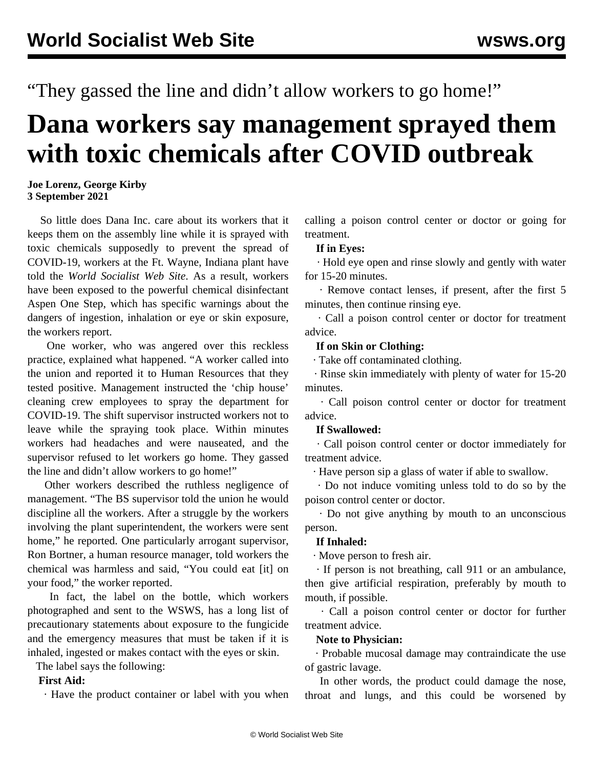"They gassed the line and didn't allow workers to go home!"

# **Dana workers say management sprayed them with toxic chemicals after COVID outbreak**

### **Joe Lorenz, George Kirby 3 September 2021**

 So little does Dana Inc. care about its workers that it keeps them on the assembly line while it is sprayed with toxic chemicals supposedly to prevent the spread of COVID-19, workers at the Ft. Wayne, Indiana plant have told the *World Socialist Web Site*. As a result, workers have been exposed to the powerful chemical disinfectant Aspen One Step, which has specific warnings about the dangers of ingestion, inhalation or eye or skin exposure, the workers report.

 One worker, who was angered over this reckless practice, explained what happened. "A worker called into the union and reported it to Human Resources that they tested positive. Management instructed the 'chip house' cleaning crew employees to spray the department for COVID-19. The shift supervisor instructed workers not to leave while the spraying took place. Within minutes workers had headaches and were nauseated, and the supervisor refused to let workers go home. They gassed the line and didn't allow workers to go home!"

 Other workers described the ruthless negligence of management. "The BS supervisor told the union he would discipline all the workers. After a struggle by the workers involving the plant superintendent, the workers were sent home," he reported. One particularly arrogant supervisor, Ron Bortner, a human resource manager, told workers the chemical was harmless and said, "You could eat [it] on your food," the worker reported.

 In fact, the label on the bottle, which workers photographed and sent to the WSWS, has a long list of precautionary statements about exposure to the fungicide and the emergency measures that must be taken if it is inhaled, ingested or makes contact with the eyes or skin.

The label says the following:

## **First Aid:**

· Have the product container or label with you when

calling a poison control center or doctor or going for treatment.

### **If in Eyes:**

 · Hold eye open and rinse slowly and gently with water for 15-20 minutes.

 · Remove contact lenses, if present, after the first 5 minutes, then continue rinsing eye.

 · Call a poison control center or doctor for treatment advice.

## **If on Skin or Clothing:**

· Take off contaminated clothing.

 · Rinse skin immediately with plenty of water for 15-20 minutes.

 · Call poison control center or doctor for treatment advice.

#### **If Swallowed:**

 · Call poison control center or doctor immediately for treatment advice.

· Have person sip a glass of water if able to swallow.

 · Do not induce vomiting unless told to do so by the poison control center or doctor.

 · Do not give anything by mouth to an unconscious person.

#### **If Inhaled:**

· Move person to fresh air.

 · If person is not breathing, call 911 or an ambulance, then give artificial respiration, preferably by mouth to mouth, if possible.

 · Call a poison control center or doctor for further treatment advice.

# **Note to Physician:**

 · Probable mucosal damage may contraindicate the use of gastric lavage.

 In other words, the product could damage the nose, throat and lungs, and this could be worsened by